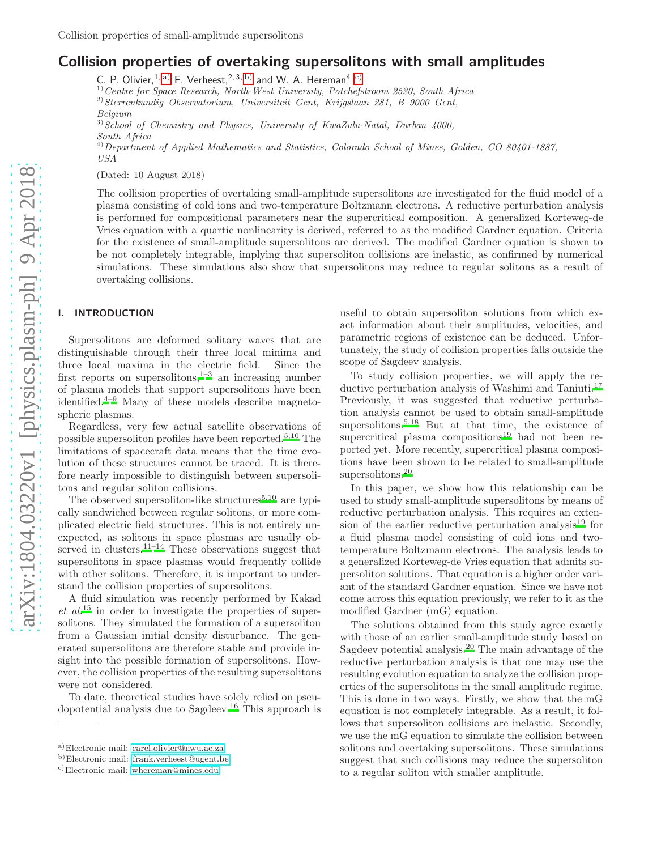# Collision properties of overtaking supersolitons with small amplitudes

C. P. Olivier,  $1, a)$  $1, a)$  F. Verheest,  $2, 3, b)$  $2, 3, b)$  and W. A. Hereman<sup>4, [c\)](#page-0-2)</sup>

1)Centre for Space Research, North-West University, Potchefstroom 2520, South Africa

<sup>2)</sup> Sterrenkundig Observatorium, Universiteit Gent, Krijgslaan 281, B-9000 Gent, Belgium

 $3)$  School of Chemistry and Physics, University of KwaZulu-Natal, Durban 4000,

South Africa

 $^{4)}$ Department of Applied Mathematics and Statistics, Colorado School of Mines, Golden, CO 80401-1887, USA

(Dated: 10 August 2018)

The collision properties of overtaking small-amplitude supersolitons are investigated for the fluid model of a plasma consisting of cold ions and two-temperature Boltzmann electrons. A reductive perturbation analysis is performed for compositional parameters near the supercritical composition. A generalized Korteweg-de Vries equation with a quartic nonlinearity is derived, referred to as the modified Gardner equation. Criteria for the existence of small-amplitude supersolitons are derived. The modified Gardner equation is shown to be not completely integrable, implying that supersoliton collisions are inelastic, as confirmed by numerical simulations. These simulations also show that supersolitons may reduce to regular solitons as a result of overtaking collisions.

## I. INTRODUCTION

Supersolitons are deformed solitary waves that are distinguishable through their three local minima and three local maxima in the electric field. Since the first reports on supersolitons,  $1-3$  $1-3$  an increasing number of plasma models that support supersolitons have been identified. $4-9$  $4-9$  Many of these models describe magnetospheric plasmas.

Regardless, very few actual satellite observations of possible supersoliton profiles have been reported.<sup>[5](#page-5-4)[,10](#page-5-5)</sup> The limitations of spacecraft data means that the time evolution of these structures cannot be traced. It is therefore nearly impossible to distinguish between supersolitons and regular soliton collisions.

The observed supersoliton-like structures<sup>[5](#page-5-4)[,10](#page-5-5)</sup> are typically sandwiched between regular solitons, or more complicated electric field structures. This is not entirely unexpected, as solitons in space plasmas are usually ob-served in clusters.<sup>[11](#page-5-6)[–14](#page-5-7)</sup> These observations suggest that supersolitons in space plasmas would frequently collide with other solitons. Therefore, it is important to understand the collision properties of supersolitons.

A fluid simulation was recently performed by Kakad  $et \ al^{15}$  $et \ al^{15}$  $et \ al^{15}$  in order to investigate the properties of supersolitons. They simulated the formation of a supersoliton from a Gaussian initial density disturbance. The generated supersolitons are therefore stable and provide insight into the possible formation of supersolitons. However, the collision properties of the resulting supersolitons were not considered.

To date, theoretical studies have solely relied on pseudopotential analysis due to Sagdeev.[16](#page-5-9) This approach is

useful to obtain supersoliton solutions from which exact information about their amplitudes, velocities, and parametric regions of existence can be deduced. Unfortunately, the study of collision properties falls outside the scope of Sagdeev analysis.

To study collision properties, we will apply the re-ductive perturbation analysis of Washimi and Taniuti.<sup>[17](#page-5-10)</sup> Previously, it was suggested that reductive perturbation analysis cannot be used to obtain small-amplitude supersolitons.<sup>[5](#page-5-4)[,18](#page-5-11)</sup> But at that time, the existence of supercritical plasma compositions<sup>[19](#page-5-12)</sup> had not been reported yet. More recently, supercritical plasma compositions have been shown to be related to small-amplitude supersolitons.<sup>[20](#page-5-13)</sup>

In this paper, we show how this relationship can be used to study small-amplitude supersolitons by means of reductive perturbation analysis. This requires an exten-sion of the earlier reductive perturbation analysis<sup>[19](#page-5-12)</sup> for a fluid plasma model consisting of cold ions and twotemperature Boltzmann electrons. The analysis leads to a generalized Korteweg-de Vries equation that admits supersoliton solutions. That equation is a higher order variant of the standard Gardner equation. Since we have not come across this equation previously, we refer to it as the modified Gardner (mG) equation.

The solutions obtained from this study agree exactly with those of an earlier small-amplitude study based on Sagdeev potential analysis.[20](#page-5-13) The main advantage of the reductive perturbation analysis is that one may use the resulting evolution equation to analyze the collision properties of the supersolitons in the small amplitude regime. This is done in two ways. Firstly, we show that the mG equation is not completely integrable. As a result, it follows that supersoliton collisions are inelastic. Secondly, we use the mG equation to simulate the collision between solitons and overtaking supersolitons. These simulations suggest that such collisions may reduce the supersoliton to a regular soliton with smaller amplitude.

<span id="page-0-0"></span>a)Electronic mail: [carel.olivier@nwu.ac.za](mailto:carel.olivier@nwu.ac.za)

<span id="page-0-1"></span>b)Electronic mail: [frank.verheest@ugent.be](mailto:frank.verheest@ugent.be)

<span id="page-0-2"></span>c)Electronic mail: [whereman@mines.edu](mailto:whereman@mines.edu)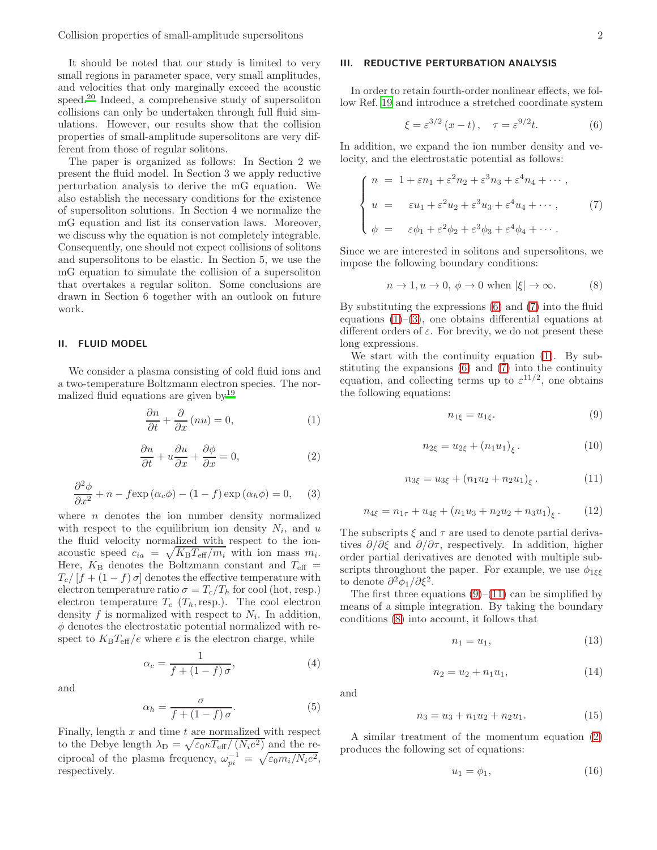It should be noted that our study is limited to very small regions in parameter space, very small amplitudes, and velocities that only marginally exceed the acoustic speed.[20](#page-5-13) Indeed, a comprehensive study of supersoliton collisions can only be undertaken through full fluid simulations. However, our results show that the collision properties of small-amplitude supersolitons are very different from those of regular solitons.

The paper is organized as follows: In Section 2 we present the fluid model. In Section 3 we apply reductive perturbation analysis to derive the mG equation. We also establish the necessary conditions for the existence of supersoliton solutions. In Section 4 we normalize the mG equation and list its conservation laws. Moreover, we discuss why the equation is not completely integrable. Consequently, one should not expect collisions of solitons and supersolitons to be elastic. In Section 5, we use the mG equation to simulate the collision of a supersoliton that overtakes a regular soliton. Some conclusions are drawn in Section 6 together with an outlook on future work.

### II. FLUID MODEL

We consider a plasma consisting of cold fluid ions and a two-temperature Boltzmann electron species. The normalized fluid equations are given by[19](#page-5-12)

<span id="page-1-2"></span>
$$
\frac{\partial n}{\partial t} + \frac{\partial}{\partial x} (nu) = 0, \tag{1}
$$

<span id="page-1-7"></span>
$$
\frac{\partial u}{\partial t} + u \frac{\partial u}{\partial x} + \frac{\partial \phi}{\partial x} = 0, \tag{2}
$$

<span id="page-1-3"></span>
$$
\frac{\partial^2 \phi}{\partial x^2} + n - f \exp(\alpha_c \phi) - (1 - f) \exp(\alpha_h \phi) = 0, \quad (3)
$$

where  $n$  denotes the ion number density normalized with respect to the equilibrium ion density  $N_i$ , and u the fluid velocity normalized with respect to the ionacoustic speed  $c_{ia} = \sqrt{K_B T_{\text{eff}}/m_i}$  with ion mass  $m_i$ . Here,  $K_B$  denotes the Boltzmann constant and  $T_{\text{eff}}$  =  $T_c/[f+(1-f)\sigma]$  denotes the effective temperature with electron temperature ratio  $\sigma = T_c/T_h$  for cool (hot, resp.) electron temperature  $T_c$  ( $T_h$ , resp.). The cool electron density  $f$  is normalized with respect to  $N_i$ . In addition,  $\phi$  denotes the electrostatic potential normalized with respect to  $K_{\text{B}}T_{\text{eff}}/e$  where e is the electron charge, while

$$
\alpha_c = \frac{1}{f + (1 - f)\sigma},\tag{4}
$$

and

$$
\alpha_h = \frac{\sigma}{f + (1 - f)\,\sigma}.\tag{5}
$$

Finally, length  $x$  and time  $t$  are normalized with respect to the Debye length  $\lambda_{\rm D} = \sqrt{\varepsilon_0 \kappa T_{\rm eff}/(N_i e^2)}$  and the reciprocal of the plasma frequency,  $\omega_{pi}^{-1} = \sqrt{\varepsilon_0 m_i/N_i e^2}$ , respectively.

# III. REDUCTIVE PERTURBATION ANALYSIS

In order to retain fourth-order nonlinear effects, we follow Ref. [19](#page-5-12) and introduce a stretched coordinate system

<span id="page-1-0"></span>
$$
\xi = \varepsilon^{3/2} (x - t), \quad \tau = \varepsilon^{9/2} t. \tag{6}
$$

In addition, we expand the ion number density and velocity, and the electrostatic potential as follows:

<span id="page-1-1"></span>
$$
\begin{cases}\nn = 1 + \varepsilon n_1 + \varepsilon^2 n_2 + \varepsilon^3 n_3 + \varepsilon^4 n_4 + \cdots, \\
u = \varepsilon u_1 + \varepsilon^2 u_2 + \varepsilon^3 u_3 + \varepsilon^4 u_4 + \cdots,\n\end{cases} \tag{7}
$$
\n
$$
\phi = \varepsilon \phi_1 + \varepsilon^2 \phi_2 + \varepsilon^3 \phi_3 + \varepsilon^4 \phi_4 + \cdots.
$$

Since we are interested in solitons and supersolitons, we impose the following boundary conditions:

<span id="page-1-6"></span>
$$
n \to 1, u \to 0, \ \phi \to 0 \text{ when } |\xi| \to \infty. \tag{8}
$$

By substituting the expressions [\(6\)](#page-1-0) and [\(7\)](#page-1-1) into the fluid equations  $(1)$ – $(3)$ , one obtains differential equations at different orders of  $\varepsilon$ . For brevity, we do not present these long expressions.

We start with the continuity equation [\(1\)](#page-1-2). By substituting the expansions [\(6\)](#page-1-0) and [\(7\)](#page-1-1) into the continuity equation, and collecting terms up to  $\varepsilon^{11/2}$ , one obtains the following equations:

<span id="page-1-4"></span>
$$
n_{1\xi} = u_{1\xi}.\tag{9}
$$

$$
n_{2\xi} = u_{2\xi} + (n_1 u_1)_{\xi}.
$$
 (10)

<span id="page-1-5"></span>
$$
n_{3\xi} = u_{3\xi} + (n_1u_2 + n_2u_1)_{\xi}.
$$
 (11)

<span id="page-1-9"></span>
$$
n_{4\xi} = n_{1\tau} + u_{4\xi} + (n_1u_3 + n_2u_2 + n_3u_1)_{\xi}. \qquad (12)
$$

The subscripts  $\xi$  and  $\tau$  are used to denote partial derivatives  $\partial/\partial \xi$  and  $\partial/\partial \tau$ , respectively. In addition, higher order partial derivatives are denoted with multiple subscripts throughout the paper. For example, we use  $\phi_{1\xi\xi}$ to denote  $\partial^2 \phi_1 / \partial \xi^2$ .

The first three equations  $(9)$ – $(11)$  can be simplified by means of a simple integration. By taking the boundary conditions [\(8\)](#page-1-6) into account, it follows that

$$
n_1 = u_1,\tag{13}
$$

$$
n_2 = u_2 + n_1 u_1,\t\t(14)
$$

and

<span id="page-1-10"></span>
$$
n_3 = u_3 + n_1 u_2 + n_2 u_1. \tag{15}
$$

A similar treatment of the momentum equation [\(2\)](#page-1-7) produces the following set of equations:

<span id="page-1-8"></span>
$$
u_1 = \phi_1,\tag{16}
$$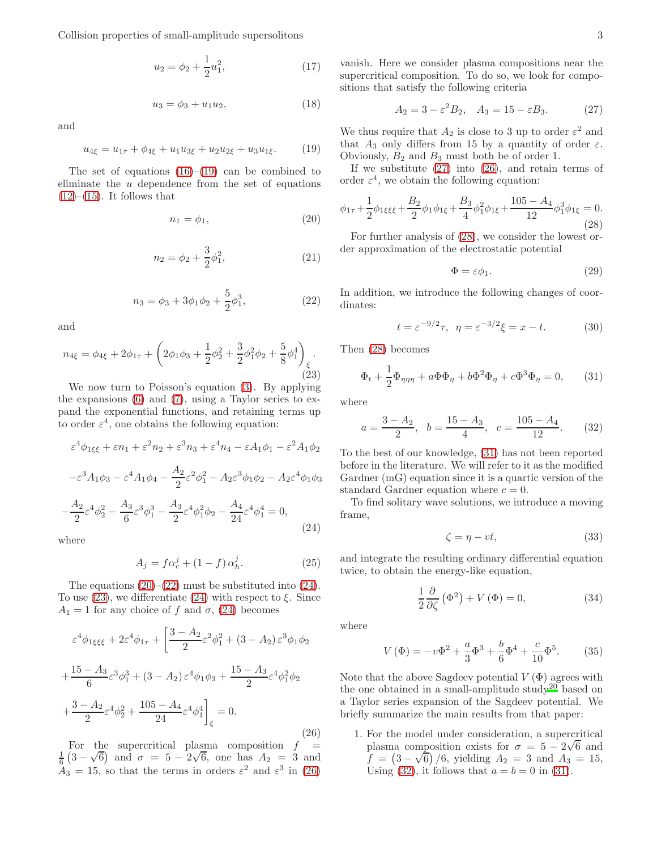Collision properties of small-amplitude supersolitons 3

$$
u_2 = \phi_2 + \frac{1}{2}u_1^2,\tag{17}
$$

$$
u_3 = \phi_3 + u_1 u_2, \tag{18}
$$

and

<span id="page-2-0"></span>
$$
u_{4\xi} = u_{1\tau} + \phi_{4\xi} + u_1 u_{3\xi} + u_2 u_{2\xi} + u_3 u_{1\xi}.
$$
 (19)

The set of equations  $(16)$ – $(19)$  can be combined to eliminate the  $u$  dependence from the set of equations  $(12)–(15)$  $(12)–(15)$  $(12)–(15)$ . It follows that

<span id="page-2-1"></span>
$$
n_1 = \phi_1,\tag{20}
$$

$$
n_2 = \phi_2 + \frac{3}{2}\phi_1^2, \tag{21}
$$

<span id="page-2-2"></span>
$$
n_3 = \phi_3 + 3\phi_1\phi_2 + \frac{5}{2}\phi_1^3,\tag{22}
$$

and

<span id="page-2-4"></span>
$$
n_{4\xi} = \phi_{4\xi} + 2\phi_{1\tau} + \left(2\phi_1\phi_3 + \frac{1}{2}\phi_2^2 + \frac{3}{2}\phi_1^2\phi_2 + \frac{5}{8}\phi_1^4\right)_{\substack{\xi\\\xi}}.
$$
\n(23)

We now turn to Poisson's equation [\(3\)](#page-1-3). By applying the expansions [\(6\)](#page-1-0) and [\(7\)](#page-1-1), using a Taylor series to expand the exponential functions, and retaining terms up to order  $\varepsilon^4$ , one obtains the following equation:

$$
\varepsilon^4 \phi_{1\xi\xi} + \varepsilon n_1 + \varepsilon^2 n_2 + \varepsilon^3 n_3 + \varepsilon^4 n_4 - \varepsilon A_1 \phi_1 - \varepsilon^2 A_1 \phi_2
$$

<span id="page-2-3"></span>
$$
-\varepsilon^3 A_1 \phi_3 - \varepsilon^4 A_1 \phi_4 - \frac{A_2}{2} \varepsilon^2 \phi_1^2 - A_2 \varepsilon^3 \phi_1 \phi_2 - A_2 \varepsilon^4 \phi_1 \phi_3
$$

$$
-\frac{A_2}{2}\varepsilon^4\phi_2^2 - \frac{A_3}{6}\varepsilon^3\phi_1^3 - \frac{A_3}{2}\varepsilon^4\phi_1^2\phi_2 - \frac{A_4}{24}\varepsilon^4\phi_1^4 = 0,
$$
\n(24)

where

$$
A_j = f\alpha_c^j + (1 - f)\alpha_h^j. \tag{25}
$$

The equations  $(20)$ – $(22)$  must be substituted into  $(24)$ . To use [\(23\)](#page-2-4), we differentiate [\(24\)](#page-2-3) with respect to  $\xi$ . Since  $A_1 = 1$  for any choice of f and  $\sigma$ , [\(24\)](#page-2-3) becomes

<span id="page-2-5"></span>
$$
\varepsilon^{4}\phi_{1\xi\xi\xi} + 2\varepsilon^{4}\phi_{1\tau} + \left[\frac{3 - A_{2}}{2}\varepsilon^{2}\phi_{1}^{2} + (3 - A_{2})\varepsilon^{3}\phi_{1}\phi_{2}\right] \n+ \frac{15 - A_{3}}{6}\varepsilon^{3}\phi_{1}^{3} + (3 - A_{2})\varepsilon^{4}\phi_{1}\phi_{3} + \frac{15 - A_{3}}{2}\varepsilon^{4}\phi_{1}^{2}\phi_{2} \n+ \frac{3 - A_{2}}{2}\varepsilon^{4}\phi_{2}^{2} + \frac{105 - A_{4}}{24}\varepsilon^{4}\phi_{1}^{4}\bigg|_{\xi} = 0.
$$
\n(26)

For the supercritical plasma composition  $f =$  $\frac{1}{6}(3-\sqrt{6})$  and  $\sigma = 5-2\sqrt{6}$ , one has  $A_2 = 3$  and  $A_3 = 15$ , so that the terms in orders  $\varepsilon^2$  and  $\varepsilon^3$  in [\(26\)](#page-2-5)

vanish. Here we consider plasma compositions near the supercritical composition. To do so, we look for compositions that satisfy the following criteria

<span id="page-2-6"></span>
$$
A_2 = 3 - \varepsilon^2 B_2, \quad A_3 = 15 - \varepsilon B_3. \tag{27}
$$

We thus require that  $A_2$  is close to 3 up to order  $\varepsilon^2$  and that  $A_3$  only differs from 15 by a quantity of order  $\varepsilon$ . Obviously,  $B_2$  and  $B_3$  must both be of order 1.

If we substitute  $(27)$  into  $(26)$ , and retain terms of order  $\varepsilon^4$ , we obtain the following equation:

<span id="page-2-7"></span>
$$
\phi_{1\tau} + \frac{1}{2}\phi_{1\xi\xi\xi} + \frac{B_2}{2}\phi_1\phi_{1\xi} + \frac{B_3}{4}\phi_1^2\phi_{1\xi} + \frac{105 - A_4}{12}\phi_1^3\phi_{1\xi} = 0.
$$
\n(28)

For further analysis of [\(28\)](#page-2-7), we consider the lowest order approximation of the electrostatic potential

$$
\Phi = \varepsilon \phi_1. \tag{29}
$$

In addition, we introduce the following changes of coordinates:

$$
t = \varepsilon^{-9/2}\tau, \ \ \eta = \varepsilon^{-3/2}\xi = x - t. \tag{30}
$$

Then [\(28\)](#page-2-7) becomes

<span id="page-2-8"></span>
$$
\Phi_t + \frac{1}{2}\Phi_{\eta\eta\eta} + a\Phi\Phi_\eta + b\Phi^2\Phi_\eta + c\Phi^3\Phi_\eta = 0, \qquad (31)
$$

where

<span id="page-2-9"></span>
$$
a = \frac{3 - A_2}{2}
$$
,  $b = \frac{15 - A_3}{4}$ ,  $c = \frac{105 - A_4}{12}$ . (32)

To the best of our knowledge, [\(31\)](#page-2-8) has not been reported before in the literature. We will refer to it as the modified Gardner (mG) equation since it is a quartic version of the standard Gardner equation where  $c = 0$ .

To find solitary wave solutions, we introduce a moving frame,

$$
\zeta = \eta - vt,\tag{33}
$$

and integrate the resulting ordinary differential equation twice, to obtain the energy-like equation,

<span id="page-2-10"></span>
$$
\frac{1}{2}\frac{\partial}{\partial \zeta}(\Phi^2) + V(\Phi) = 0,\tag{34}
$$

where

$$
V(\Phi) = -v\Phi^2 + \frac{a}{3}\Phi^3 + \frac{b}{6}\Phi^4 + \frac{c}{10}\Phi^5.
$$
 (35)

Note that the above Sagdeev potential  $V(\Phi)$  agrees with the one obtained in a small-amplitude study<sup>[20](#page-5-13)</sup> based on a Taylor series expansion of the Sagdeev potential. We briefly summarize the main results from that paper:

1. For the model under consideration, a supercritical plasma composition exists for  $\sigma = 5 - 2\sqrt{6}$  and  $f = (3 - \sqrt{6})/6$ , yielding  $A_2 = 3$  and  $A_3 = 15$ , Using [\(32\)](#page-2-9), it follows that  $a = b = 0$  in [\(31\)](#page-2-8).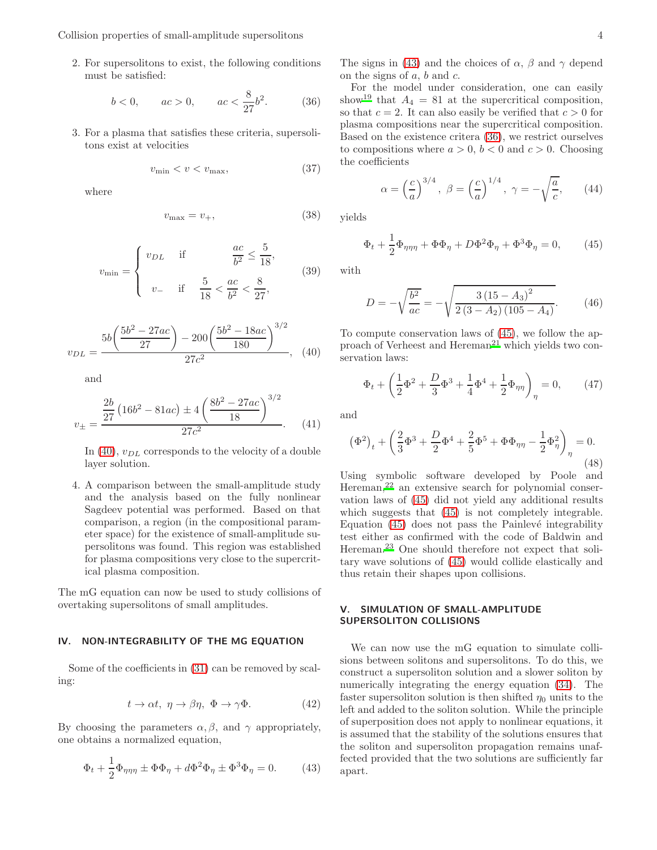Collision properties of small-amplitude supersolitons 4

2. For supersolitons to exist, the following conditions must be satisfied:

<span id="page-3-2"></span>
$$
b < 0,
$$
  $ac > 0,$   $ac < \frac{8}{27}b^2.$  (36)

3. For a plasma that satisfies these criteria, supersolitons exist at velocities

$$
v_{\min} < v < v_{\max},\tag{37}
$$

where

$$
v_{\text{max}} = v_+, \tag{38}
$$

$$
v_{\min} = \begin{cases} v_{DL} & \text{if } \frac{ac}{b^2} \le \frac{5}{18}, \\ v_- & \text{if } \frac{5}{18} < \frac{ac}{b^2} < \frac{8}{27}, \end{cases}
$$
(39)

<span id="page-3-0"></span>
$$
v_{DL} = \frac{5b\left(\frac{5b^2 - 27ac}{27}\right) - 200\left(\frac{5b^2 - 18ac}{180}\right)^{3/2}}{27c^2},\quad(40)
$$

and

$$
v_{\pm} = \frac{\frac{2b}{27} \left( 16b^2 - 81ac \right) \pm 4 \left( \frac{8b^2 - 27ac}{18} \right)^{3/2}}{27c^2}.
$$
 (41)

In [\(40\)](#page-3-0),  $v_{DL}$  corresponds to the velocity of a double layer solution.

4. A comparison between the small-amplitude study and the analysis based on the fully nonlinear Sagdeev potential was performed. Based on that comparison, a region (in the compositional parameter space) for the existence of small-amplitude supersolitons was found. This region was established for plasma compositions very close to the supercritical plasma composition.

The mG equation can now be used to study collisions of overtaking supersolitons of small amplitudes.

#### IV. NON-INTEGRABILITY OF THE MG EQUATION

Some of the coefficients in [\(31\)](#page-2-8) can be removed by scaling:

$$
t \to \alpha t, \ \eta \to \beta \eta, \ \Phi \to \gamma \Phi. \tag{42}
$$

By choosing the parameters  $\alpha, \beta$ , and  $\gamma$  appropriately, one obtains a normalized equation,

<span id="page-3-1"></span>
$$
\Phi_t + \frac{1}{2}\Phi_{\eta\eta\eta} \pm \Phi\Phi_{\eta} + d\Phi^2\Phi_{\eta} \pm \Phi^3\Phi_{\eta} = 0.
$$
 (43)

The signs in [\(43\)](#page-3-1) and the choices of  $\alpha$ ,  $\beta$  and  $\gamma$  depend on the signs of  $a, b$  and  $c$ .

For the model under consideration, one can easily show<sup>[19](#page-5-12)</sup> that  $A_4 = 81$  at the supercritical composition, so that  $c = 2$ . It can also easily be verified that  $c > 0$  for plasma compositions near the supercritical composition. Based on the existence critera [\(36\)](#page-3-2), we restrict ourselves to compositions where  $a > 0$ ,  $b < 0$  and  $c > 0$ . Choosing the coefficients

$$
\alpha = \left(\frac{c}{a}\right)^{3/4}, \ \beta = \left(\frac{c}{a}\right)^{1/4}, \ \gamma = -\sqrt{\frac{a}{c}}, \qquad (44)
$$

yields

<span id="page-3-3"></span>
$$
\Phi_t + \frac{1}{2}\Phi_{\eta\eta\eta} + \Phi\Phi_{\eta} + D\Phi^2\Phi_{\eta} + \Phi^3\Phi_{\eta} = 0, \qquad (45)
$$

with

$$
D = -\sqrt{\frac{b^2}{ac}} = -\sqrt{\frac{3\left(15 - A_3\right)^2}{2\left(3 - A_2\right)\left(105 - A_4\right)}}.\tag{46}
$$

To compute conservation laws of [\(45\)](#page-3-3), we follow the ap-proach of Verheest and Hereman<sup>[21](#page-5-14)</sup> which yields two conservation laws:

$$
\Phi_t + \left(\frac{1}{2}\Phi^2 + \frac{D}{3}\Phi^3 + \frac{1}{4}\Phi^4 + \frac{1}{2}\Phi_{\eta\eta}\right)_{\eta} = 0, \qquad (47)
$$

and

$$
(\Phi^2)_t + \left(\frac{2}{3}\Phi^3 + \frac{D}{2}\Phi^4 + \frac{2}{5}\Phi^5 + \Phi\Phi_{\eta\eta} - \frac{1}{2}\Phi^2_{\eta}\right)_{\eta} = 0.
$$
\n(48)

Using symbolic software developed by Poole and Hereman,[22](#page-5-15) an extensive search for polynomial conservation laws of [\(45\)](#page-3-3) did not yield any additional results which suggests that  $(45)$  is not completely integrable. Equation  $(45)$  does not pass the Painlevé integrability test either as confirmed with the code of Baldwin and Hereman.[23](#page-5-16) One should therefore not expect that solitary wave solutions of [\(45\)](#page-3-3) would collide elastically and thus retain their shapes upon collisions.

#### V. SIMULATION OF SMALL-AMPLITUDE SUPERSOLITON COLLISIONS

We can now use the mG equation to simulate collisions between solitons and supersolitons. To do this, we construct a supersoliton solution and a slower soliton by numerically integrating the energy equation [\(34\)](#page-2-10). The faster supersoliton solution is then shifted  $\eta_0$  units to the left and added to the soliton solution. While the principle of superposition does not apply to nonlinear equations, it is assumed that the stability of the solutions ensures that the soliton and supersoliton propagation remains unaffected provided that the two solutions are sufficiently far apart.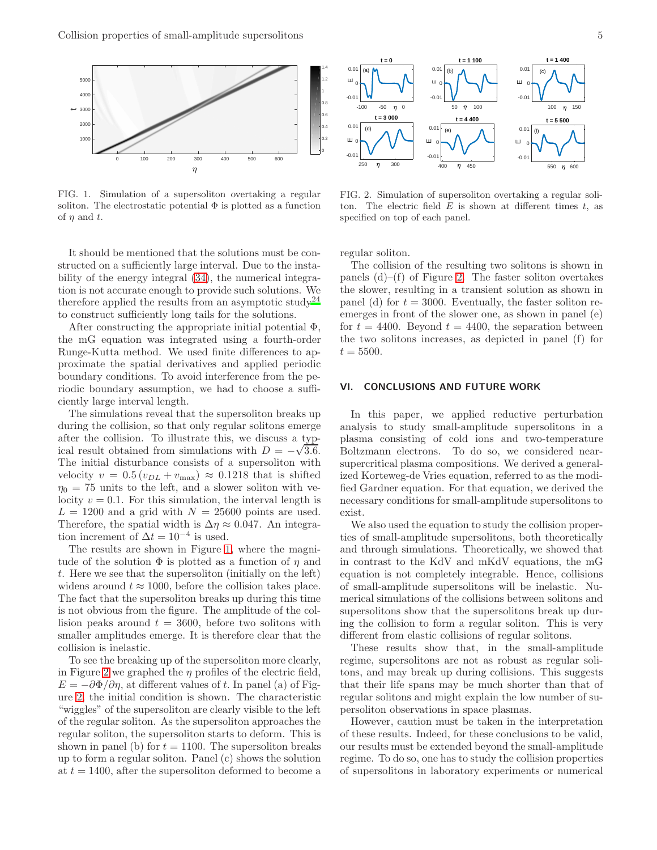

<span id="page-4-0"></span>FIG. 1. Simulation of a supersoliton overtaking a regular soliton. The electrostatic potential  $\Phi$  is plotted as a function of  $\eta$  and  $t$ .

It should be mentioned that the solutions must be constructed on a sufficiently large interval. Due to the instability of the energy integral [\(34\)](#page-2-10), the numerical integration is not accurate enough to provide such solutions. We therefore applied the results from an asymptotic study<sup>[24](#page-5-17)</sup> to construct sufficiently long tails for the solutions.

After constructing the appropriate initial potential  $\Phi$ , the mG equation was integrated using a fourth-order Runge-Kutta method. We used finite differences to approximate the spatial derivatives and applied periodic boundary conditions. To avoid interference from the periodic boundary assumption, we had to choose a sufficiently large interval length.

The simulations reveal that the supersoliton breaks up during the collision, so that only regular solitons emerge after the collision. To illustrate this, we discuss a typical result obtained from simulations with  $D = -\sqrt{3.6}$ . The initial disturbance consists of a supersoliton with velocity  $v = 0.5 (v_{DL} + v_{max}) \approx 0.1218$  that is shifted  $\eta_0 = 75$  units to the left, and a slower soliton with velocity  $v = 0.1$ . For this simulation, the interval length is  $L = 1200$  and a grid with  $N = 25600$  points are used. Therefore, the spatial width is  $\Delta \eta \approx 0.047$ . An integration increment of  $\Delta t = 10^{-4}$  is used.

The results are shown in Figure [1,](#page-4-0) where the magnitude of the solution  $\Phi$  is plotted as a function of  $\eta$  and t. Here we see that the supersoliton (initially on the left) widens around  $t \approx 1000$ , before the collision takes place. The fact that the supersoliton breaks up during this time is not obvious from the figure. The amplitude of the collision peaks around  $t = 3600$ , before two solitons with smaller amplitudes emerge. It is therefore clear that the collision is inelastic.

To see the breaking up of the supersoliton more clearly, in Figure [2](#page-4-1) we graphed the  $\eta$  profiles of the electric field,  $E = -\partial \Phi / \partial \eta$ , at different values of t. In panel (a) of Figure [2,](#page-4-1) the initial condition is shown. The characteristic "wiggles" of the supersoliton are clearly visible to the left of the regular soliton. As the supersoliton approaches the regular soliton, the supersoliton starts to deform. This is shown in panel (b) for  $t = 1100$ . The supersoliton breaks up to form a regular soliton. Panel (c) shows the solution at  $t = 1400$ , after the supersoliton deformed to become a



<span id="page-4-1"></span>FIG. 2. Simulation of supersoliton overtaking a regular soliton. The electric field  $E$  is shown at different times  $t$ , as specified on top of each panel.

regular soliton.

The collision of the resulting two solitons is shown in panels  $(d)$ – $(f)$  of Figure [2.](#page-4-1) The faster soliton overtakes the slower, resulting in a transient solution as shown in panel (d) for  $t = 3000$ . Eventually, the faster soliton reemerges in front of the slower one, as shown in panel (e) for  $t = 4400$ . Beyond  $t = 4400$ , the separation between the two solitons increases, as depicted in panel (f) for  $t = 5500.$ 

#### VI. CONCLUSIONS AND FUTURE WORK

In this paper, we applied reductive perturbation analysis to study small-amplitude supersolitons in a plasma consisting of cold ions and two-temperature Boltzmann electrons. To do so, we considered nearsupercritical plasma compositions. We derived a generalized Korteweg-de Vries equation, referred to as the modified Gardner equation. For that equation, we derived the necessary conditions for small-amplitude supersolitons to exist.

We also used the equation to study the collision properties of small-amplitude supersolitons, both theoretically and through simulations. Theoretically, we showed that in contrast to the KdV and mKdV equations, the mG equation is not completely integrable. Hence, collisions of small-amplitude supersolitons will be inelastic. Numerical simulations of the collisions between solitons and supersolitons show that the supersolitons break up during the collision to form a regular soliton. This is very different from elastic collisions of regular solitons.

These results show that, in the small-amplitude regime, supersolitons are not as robust as regular solitons, and may break up during collisions. This suggests that their life spans may be much shorter than that of regular solitons and might explain the low number of supersoliton observations in space plasmas.

However, caution must be taken in the interpretation of these results. Indeed, for these conclusions to be valid, our results must be extended beyond the small-amplitude regime. To do so, one has to study the collision properties of supersolitons in laboratory experiments or numerical